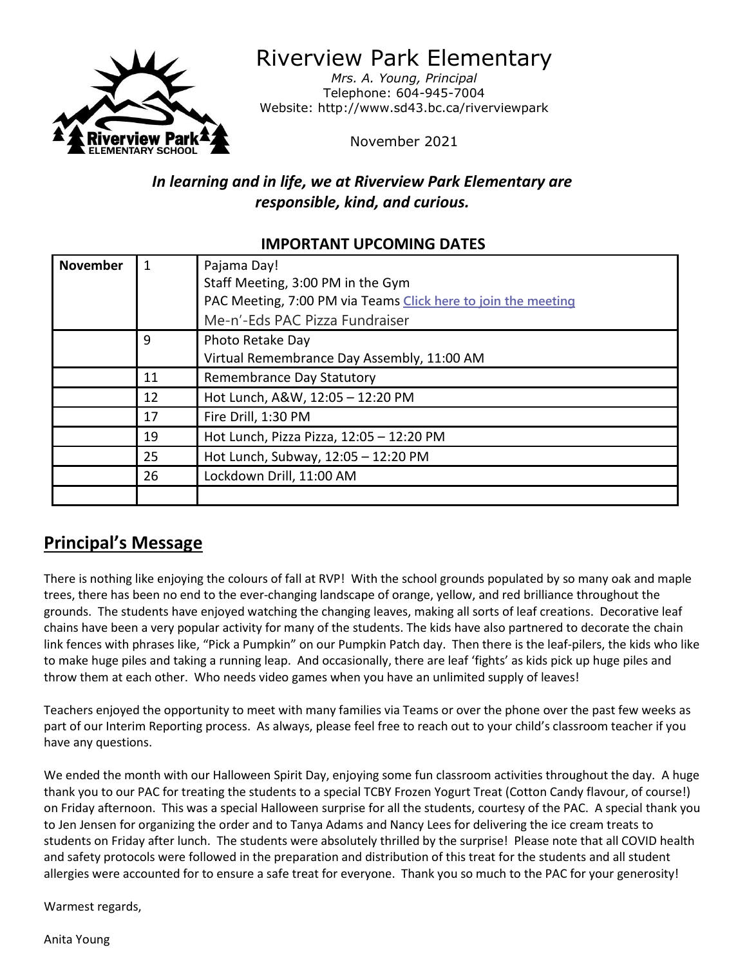

Riverview Park Elementary

*Mrs. A. Young, Principal* Telephone: 604-945-7004 Website: http://www.sd43.bc.ca/riverviewpark

November 2021

# *In learning and in life, we at Riverview Park Elementary are responsible, kind, and curious.*

## **IMPORTANT UPCOMING DATES**

| <b>November</b> |    | Pajama Day!                                                   |
|-----------------|----|---------------------------------------------------------------|
|                 |    | Staff Meeting, 3:00 PM in the Gym                             |
|                 |    | PAC Meeting, 7:00 PM via Teams Click here to join the meeting |
|                 |    | Me-n'-Eds PAC Pizza Fundraiser                                |
|                 | q  | Photo Retake Day                                              |
|                 |    | Virtual Remembrance Day Assembly, 11:00 AM                    |
|                 | 11 | Remembrance Day Statutory                                     |
|                 | 12 | Hot Lunch, A&W, 12:05 - 12:20 PM                              |
|                 | 17 | Fire Drill, 1:30 PM                                           |
|                 | 19 | Hot Lunch, Pizza Pizza, 12:05 - 12:20 PM                      |
|                 | 25 | Hot Lunch, Subway, 12:05 - 12:20 PM                           |
|                 | 26 | Lockdown Drill, 11:00 AM                                      |
|                 |    |                                                               |

# **Principal's Message**

There is nothing like enjoying the colours of fall at RVP! With the school grounds populated by so many oak and maple trees, there has been no end to the ever-changing landscape of orange, yellow, and red brilliance throughout the grounds. The students have enjoyed watching the changing leaves, making all sorts of leaf creations. Decorative leaf chains have been a very popular activity for many of the students. The kids have also partnered to decorate the chain link fences with phrases like, "Pick a Pumpkin" on our Pumpkin Patch day. Then there is the leaf-pilers, the kids who like to make huge piles and taking a running leap. And occasionally, there are leaf 'fights' as kids pick up huge piles and throw them at each other. Who needs video games when you have an unlimited supply of leaves!

Teachers enjoyed the opportunity to meet with many families via Teams or over the phone over the past few weeks as part of our Interim Reporting process. As always, please feel free to reach out to your child's classroom teacher if you have any questions.

We ended the month with our Halloween Spirit Day, enjoying some fun classroom activities throughout the day. A huge thank you to our PAC for treating the students to a special TCBY Frozen Yogurt Treat (Cotton Candy flavour, of course!) on Friday afternoon. This was a special Halloween surprise for all the students, courtesy of the PAC. A special thank you to Jen Jensen for organizing the order and to Tanya Adams and Nancy Lees for delivering the ice cream treats to students on Friday after lunch. The students were absolutely thrilled by the surprise! Please note that all COVID health and safety protocols were followed in the preparation and distribution of this treat for the students and all student allergies were accounted for to ensure a safe treat for everyone. Thank you so much to the PAC for your generosity!

Warmest regards,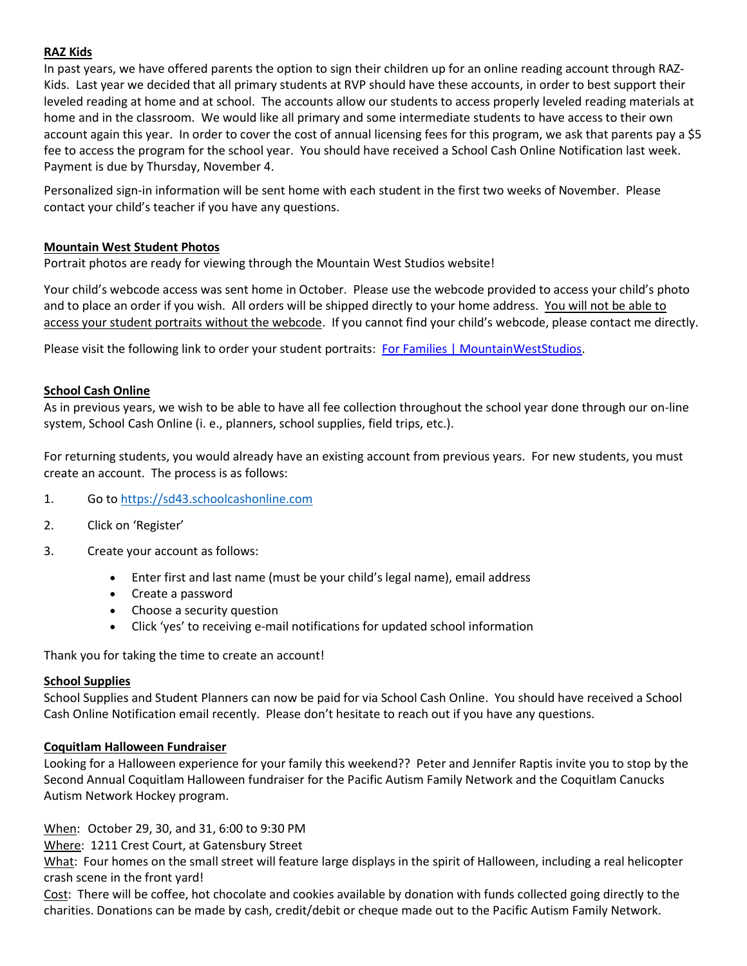### **RAZ Kids**

In past years, we have offered parents the option to sign their children up for an online reading account through RAZ-Kids. Last year we decided that all primary students at RVP should have these accounts, in order to best support their leveled reading at home and at school. The accounts allow our students to access properly leveled reading materials at home and in the classroom. We would like all primary and some intermediate students to have access to their own account again this year. In order to cover the cost of annual licensing fees for this program, we ask that parents pay a \$5 fee to access the program for the school year. You should have received a School Cash Online Notification last week. Payment is due by Thursday, November 4.

Personalized sign-in information will be sent home with each student in the first two weeks of November. Please contact your child's teacher if you have any questions.

### **Mountain West Student Photos**

Portrait photos are ready for viewing through the Mountain West Studios website!

Your child's webcode access was sent home in October. Please use the webcode provided to access your child's photo and to place an order if you wish. All orders will be shipped directly to your home address. You will not be able to access your student portraits without the webcode. If you cannot find your child's webcode, please contact me directly.

Please visit the following link to order your student portraits: [For Families | MountainWestStudios.](https://www.mountainwest.ca/support-for-families)

### **School Cash Online**

As in previous years, we wish to be able to have all fee collection throughout the school year done through our on-line system, School Cash Online (i. e., planners, school supplies, field trips, etc.).

For returning students, you would already have an existing account from previous years. For new students, you must create an account. The process is as follows:

- 1. Go to [https://sd43.schoolcashonline.com](https://sd43.schoolcashonline.com/)
- 2. Click on 'Register'
- 3. Create your account as follows:
	- Enter first and last name (must be your child's legal name), email address
	- Create a password
	- Choose a security question
	- Click 'yes' to receiving e-mail notifications for updated school information

Thank you for taking the time to create an account!

### **School Supplies**

School Supplies and Student Planners can now be paid for via School Cash Online. You should have received a School Cash Online Notification email recently. Please don't hesitate to reach out if you have any questions.

### **Coquitlam Halloween Fundraiser**

Looking for a Halloween experience for your family this weekend?? Peter and Jennifer Raptis invite you to stop by the Second Annual Coquitlam Halloween fundraiser for the Pacific Autism Family Network and the Coquitlam Canucks Autism Network Hockey program.

When: October 29, 30, and 31, 6:00 to 9:30 PM

Where: 1211 Crest Court, at Gatensbury Street

What: Four homes on the small street will feature large displays in the spirit of Halloween, including a real helicopter crash scene in the front yard!

Cost: There will be coffee, hot chocolate and cookies available by donation with funds collected going directly to the charities. Donations can be made by cash, credit/debit or cheque made out to the Pacific Autism Family Network.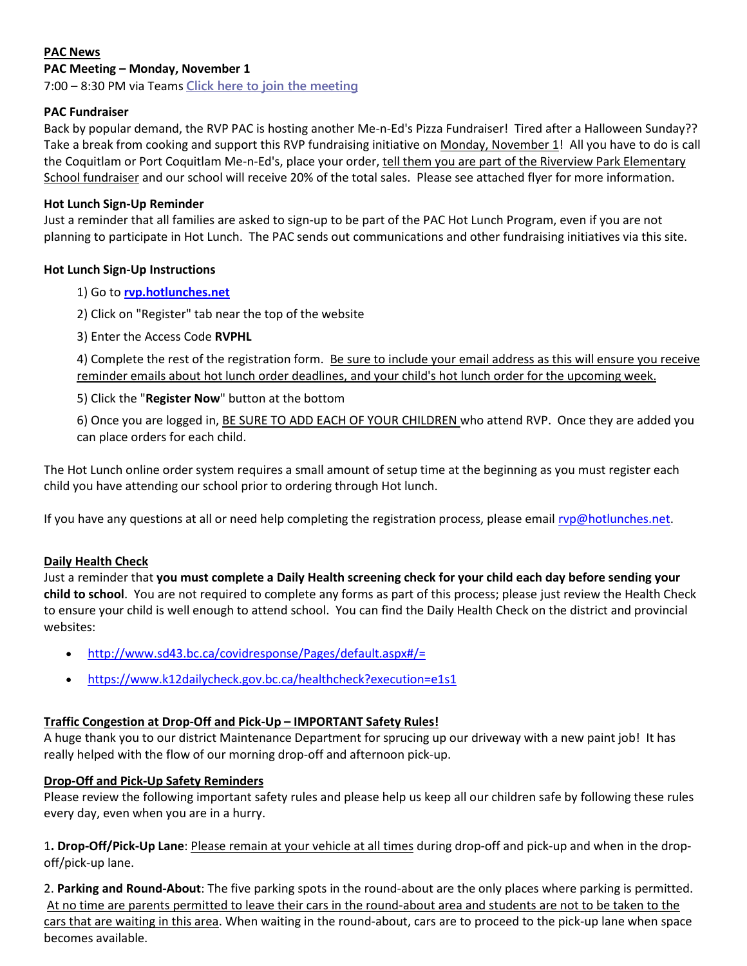### **PAC News**

### **PAC Meeting – Monday, November 1**

7:00 – 8:30 PM via Teams **[Click here to join the meeting](https://teams.microsoft.com/l/meetup-join/19%3ameeting_MzNlMmM3YmQtZTlmNy00ZGE5LThjNGEtN2Y3NTFmNGZhYWZm%40thread.v2/0?context=%7b%22Tid%22%3a%22d9658cef-0292-4252-9925-6442de24a44b%22%2c%22Oid%22%3a%221b590d38-a337-41db-b865-c71f6b641bf3%22%7d)**

### **PAC Fundraiser**

Back by popular demand, the RVP PAC is hosting another Me-n-Ed's Pizza Fundraiser! Tired after a Halloween Sunday?? Take a break from cooking and support this RVP fundraising initiative on Monday, November 1! All you have to do is call the Coquitlam or Port Coquitlam Me-n-Ed's, place your order, tell them you are part of the Riverview Park Elementary School fundraiser and our school will receive 20% of the total sales. Please see attached flyer for more information.

### **Hot Lunch Sign-Up Reminder**

Just a reminder that all families are asked to sign-up to be part of the PAC Hot Lunch Program, even if you are not planning to participate in Hot Lunch. The PAC sends out communications and other fundraising initiatives via this site.

### **Hot Lunch Sign-Up Instructions**

- 1) Go to **[rvp.hotlunches.net](http://rvp.hotlunches.net/)**
- 2) Click on "Register" tab near the top of the website
- 3) Enter the Access Code **RVPHL**

4) Complete the rest of the registration form. Be sure to include your email address as this will ensure you receive reminder emails about hot lunch order deadlines, and your child's hot lunch order for the upcoming week.

#### 5) Click the "**Register Now**" button at the bottom

6) Once you are logged in, BE SURE TO ADD EACH OF YOUR CHILDREN who attend RVP. Once they are added you can place orders for each child.

The Hot Lunch online order system requires a small amount of setup time at the beginning as you must register each child you have attending our school prior to ordering through Hot lunch.

If you have any questions at all or need help completing the registration process, please email  $rvp@$  hotlunches.net.

### **Daily Health Check**

Just a reminder that **you must complete a Daily Health screening check for your child each day before sending your child to school**. You are not required to complete any forms as part of this process; please just review the Health Check to ensure your child is well enough to attend school. You can find the Daily Health Check on the district and provincial websites:

- <http://www.sd43.bc.ca/covidresponse/Pages/default.aspx#/=>
- <https://www.k12dailycheck.gov.bc.ca/healthcheck?execution=e1s1>

### **Traffic Congestion at Drop-Off and Pick-Up – IMPORTANT Safety Rules!**

A huge thank you to our district Maintenance Department for sprucing up our driveway with a new paint job! It has really helped with the flow of our morning drop-off and afternoon pick-up.

### **Drop-Off and Pick-Up Safety Reminders**

Please review the following important safety rules and please help us keep all our children safe by following these rules every day, even when you are in a hurry.

1**. Drop-Off/Pick-Up Lane**: Please remain at your vehicle at all times during drop-off and pick-up and when in the dropoff/pick-up lane.

2. **Parking and Round-About**: The five parking spots in the round-about are the only places where parking is permitted. At no time are parents permitted to leave their cars in the round-about area and students are not to be taken to the cars that are waiting in this area. When waiting in the round-about, cars are to proceed to the pick-up lane when space becomes available.